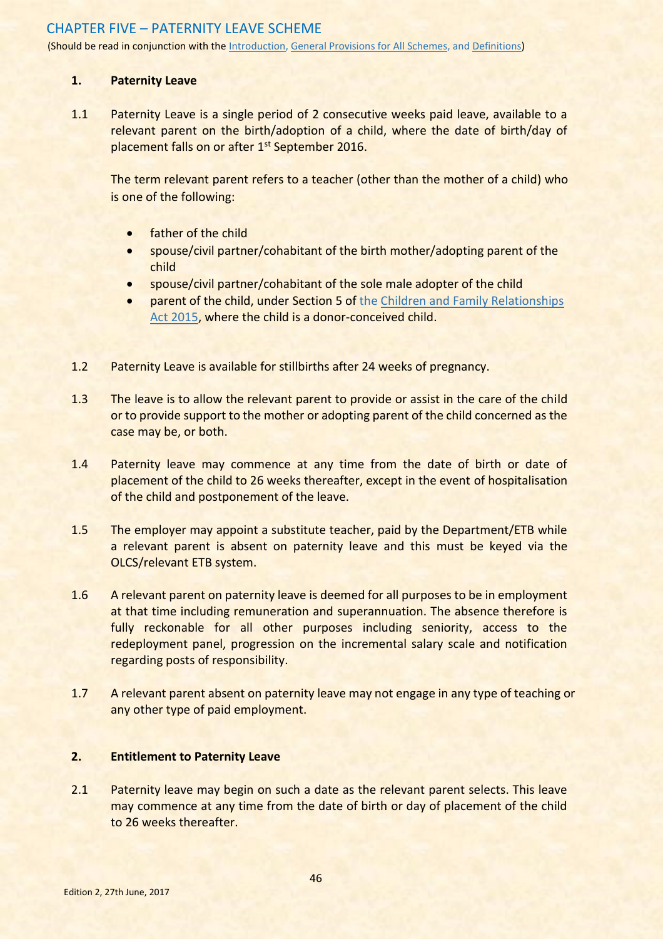# CHAPTER FIVE – PATERNITY LEAVE SCHEME

(Should be read in conjunction with the Introduction, General Provisions for All Schemes, and Definitions)

### **1. Paternity Leave**

1.1 Paternity Leave is a single period of 2 consecutive weeks paid leave, available to a relevant parent on the birth/adoption of a child, where the date of birth/day of placement falls on or after 1<sup>st</sup> September 2016.

The term relevant parent refers to a teacher (other than the mother of a child) who is one of the following:

- **•** father of the child
- spouse/civil partner/cohabitant of the birth mother/adopting parent of the child
- spouse/civil partner/cohabitant of the sole male adopter of the child
- parent of the child, under Section 5 of th[e Children and Family Relationships](http://www.irishstatutebook.ie/eli/2015/act/9/enacted/en/print)  [Act 2015,](http://www.irishstatutebook.ie/eli/2015/act/9/enacted/en/print) where the child is a donor-conceived child.
- 1.2 Paternity Leave is available for stillbirths after 24 weeks of pregnancy.
- 1.3 The leave is to allow the relevant parent to provide or assist in the care of the child or to provide support to the mother or adopting parent of the child concerned as the case may be, or both.
- 1.4 Paternity leave may commence at any time from the date of birth or date of placement of the child to 26 weeks thereafter, except in the event of hospitalisation of the child and postponement of the leave.
- 1.5 The employer may appoint a substitute teacher, paid by the Department/ETB while a relevant parent is absent on paternity leave and this must be keyed via the OLCS/relevant ETB system.
- 1.6 A relevant parent on paternity leave is deemed for all purposes to be in employment at that time including remuneration and superannuation. The absence therefore is fully reckonable for all other purposes including seniority, access to the redeployment panel, progression on the incremental salary scale and notification regarding posts of responsibility.
- 1.7 A relevant parent absent on paternity leave may not engage in any type of teaching or any other type of paid employment.

## **2. Entitlement to Paternity Leave**

2.1 Paternity leave may begin on such a date as the relevant parent selects. This leave may commence at any time from the date of birth or day of placement of the child to 26 weeks thereafter.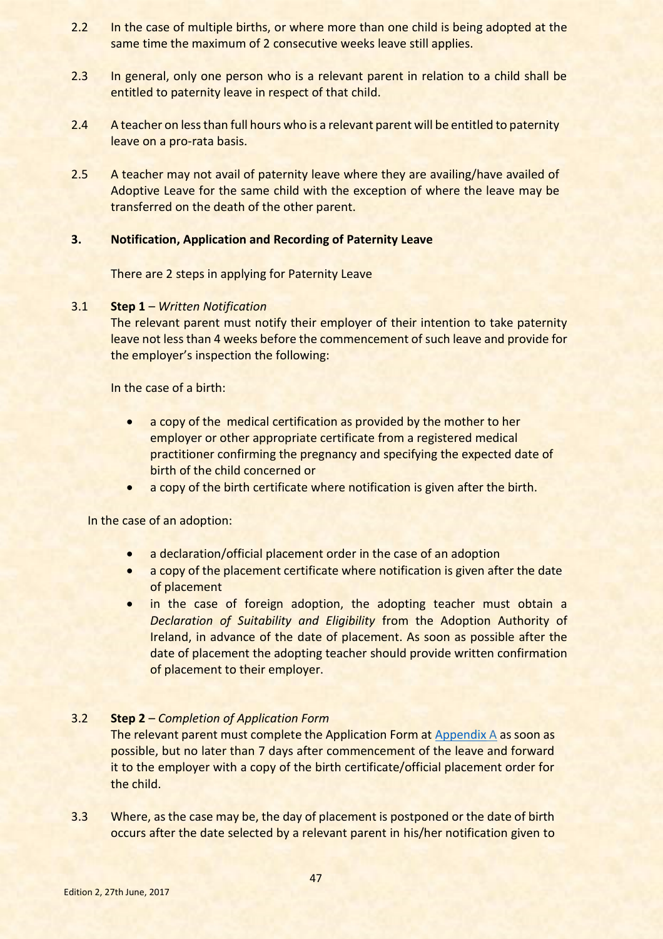- 2.2 In the case of multiple births, or where more than one child is being adopted at the same time the maximum of 2 consecutive weeks leave still applies.
- 2.3 In general, only one person who is a relevant parent in relation to a child shall be entitled to paternity leave in respect of that child.
- 2.4 A teacher on less than full hours who is a relevant parent will be entitled to paternity leave on a pro-rata basis.
- 2.5 A teacher may not avail of paternity leave where they are availing/have availed of Adoptive Leave for the same child with the exception of where the leave may be transferred on the death of the other parent.

## **3. Notification, Application and Recording of Paternity Leave**

There are 2 steps in applying for Paternity Leave

## 3.1 **Step 1** – *Written Notification*

The relevant parent must notify their employer of their intention to take paternity leave not less than 4 weeks before the commencement of such leave and provide for the employer's inspection the following:

In the case of a birth:

- a copy of the medical certification as provided by the mother to her employer or other appropriate certificate from a registered medical practitioner confirming the pregnancy and specifying the expected date of birth of the child concerned or
- a copy of the birth certificate where notification is given after the birth.

In the case of an adoption:

- a declaration/official placement order in the case of an adoption
- a copy of the placement certificate where notification is given after the date of placement
- in the case of foreign adoption, the adopting teacher must obtain a *Declaration of Suitability and Eligibility* from the Adoption Authority of Ireland, in advance of the date of placement. As soon as possible after the date of placement the adopting teacher should provide written confirmation of placement to their employer.

## 3.2 **Step 2** – *Completion of Application Form*

The relevant parent must complete the Application Form at [Appendix](#page-5-0) A as soon as possible, but no later than 7 days after commencement of the leave and forward it to the employer with a copy of the birth certificate/official placement order for the child.

3.3 Where, as the case may be, the day of placement is postponed or the date of birth occurs after the date selected by a relevant parent in his/her notification given to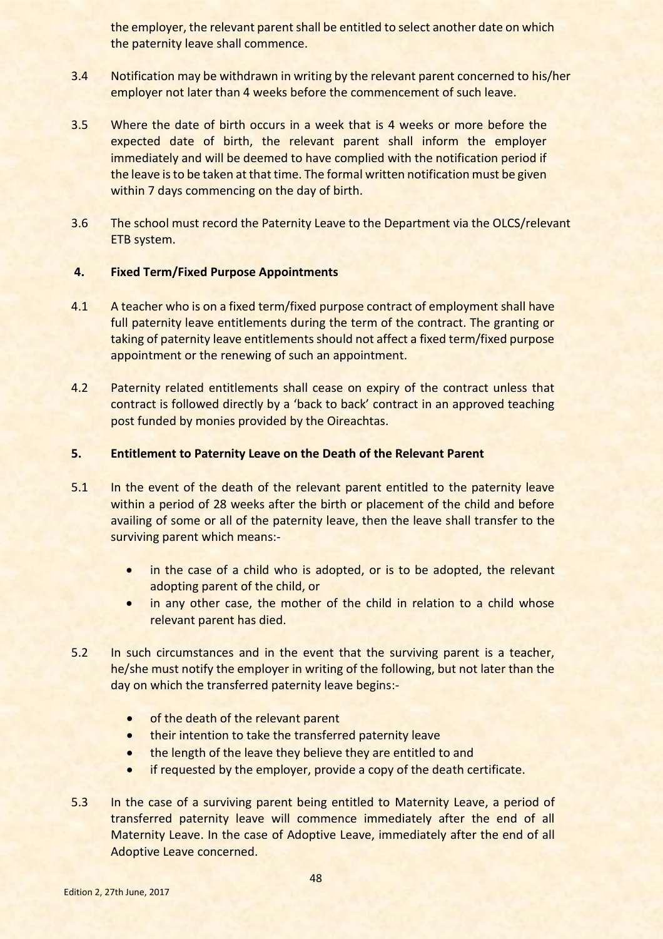the employer, the relevant parent shall be entitled to select another date on which the paternity leave shall commence.

- 3.4 Notification may be withdrawn in writing by the relevant parent concerned to his/her employer not later than 4 weeks before the commencement of such leave.
- 3.5 Where the date of birth occurs in a week that is 4 weeks or more before the expected date of birth, the relevant parent shall inform the employer immediately and will be deemed to have complied with the notification period if the leave is to be taken at that time. The formal written notification must be given within 7 days commencing on the day of birth.
- 3.6 The school must record the Paternity Leave to the Department via the OLCS/relevant ETB system.

#### **4. Fixed Term/Fixed Purpose Appointments**

- 4.1 A teacher who is on a fixed term/fixed purpose contract of employment shall have full paternity leave entitlements during the term of the contract. The granting or taking of paternity leave entitlements should not affect a fixed term/fixed purpose appointment or the renewing of such an appointment.
- 4.2 Paternity related entitlements shall cease on expiry of the contract unless that contract is followed directly by a 'back to back' contract in an approved teaching post funded by monies provided by the Oireachtas.

#### **5. Entitlement to Paternity Leave on the Death of the Relevant Parent**

- 5.1 In the event of the death of the relevant parent entitled to the paternity leave within a period of 28 weeks after the birth or placement of the child and before availing of some or all of the paternity leave, then the leave shall transfer to the surviving parent which means:-
	- in the case of a child who is adopted, or is to be adopted, the relevant adopting parent of the child, or
	- in any other case, the mother of the child in relation to a child whose relevant parent has died.
- 5.2 In such circumstances and in the event that the surviving parent is a teacher, he/she must notify the employer in writing of the following, but not later than the day on which the transferred paternity leave begins:-
	- of the death of the relevant parent
	- **•** their intention to take the transferred paternity leave
	- the length of the leave they believe they are entitled to and
	- if requested by the employer, provide a copy of the death certificate.
- 5.3 In the case of a surviving parent being entitled to Maternity Leave, a period of transferred paternity leave will commence immediately after the end of all Maternity Leave. In the case of Adoptive Leave, immediately after the end of all Adoptive Leave concerned.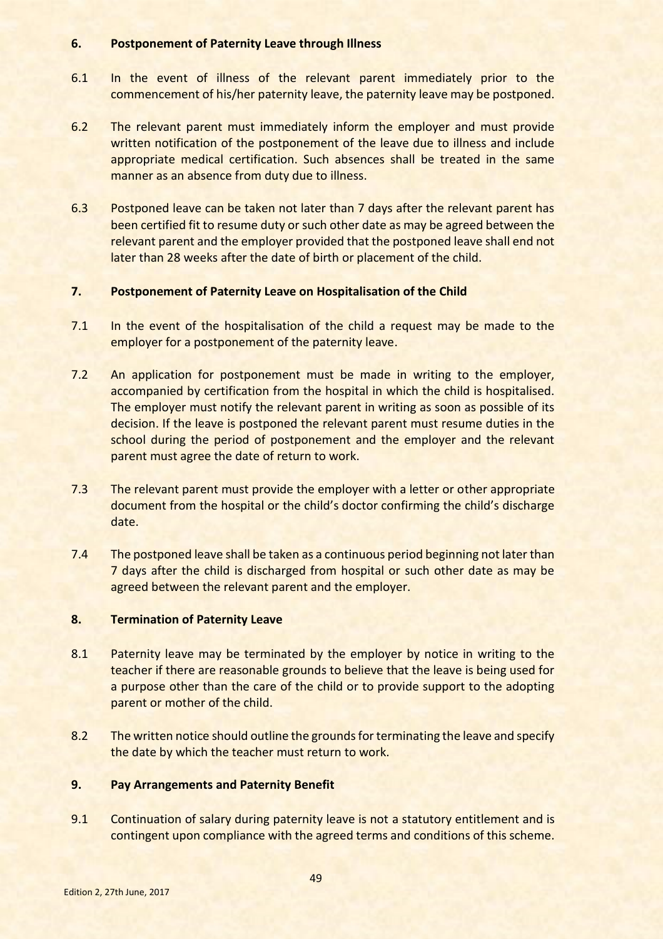#### **6. Postponement of Paternity Leave through Illness**

- 6.1 In the event of illness of the relevant parent immediately prior to the commencement of his/her paternity leave, the paternity leave may be postponed.
- 6.2 The relevant parent must immediately inform the employer and must provide written notification of the postponement of the leave due to illness and include appropriate medical certification. Such absences shall be treated in the same manner as an absence from duty due to illness.
- 6.3 Postponed leave can be taken not later than 7 days after the relevant parent has been certified fit to resume duty or such other date as may be agreed between the relevant parent and the employer provided that the postponed leave shall end not later than 28 weeks after the date of birth or placement of the child.

## **7. Postponement of Paternity Leave on Hospitalisation of the Child**

- 7.1 In the event of the hospitalisation of the child a request may be made to the employer for a postponement of the paternity leave.
- 7.2 An application for postponement must be made in writing to the employer, accompanied by certification from the hospital in which the child is hospitalised. The employer must notify the relevant parent in writing as soon as possible of its decision. If the leave is postponed the relevant parent must resume duties in the school during the period of postponement and the employer and the relevant parent must agree the date of return to work.
- 7.3 The relevant parent must provide the employer with a letter or other appropriate document from the hospital or the child's doctor confirming the child's discharge date.
- 7.4 The postponed leave shall be taken as a continuous period beginning not later than 7 days after the child is discharged from hospital or such other date as may be agreed between the relevant parent and the employer.

## **8. Termination of Paternity Leave**

- 8.1 Paternity leave may be terminated by the employer by notice in writing to the teacher if there are reasonable grounds to believe that the leave is being used for a purpose other than the care of the child or to provide support to the adopting parent or mother of the child.
- 8.2 The written notice should outline the grounds for terminating the leave and specify the date by which the teacher must return to work.

## **9. Pay Arrangements and Paternity Benefit**

9.1 Continuation of salary during paternity leave is not a statutory entitlement and is contingent upon compliance with the agreed terms and conditions of this scheme.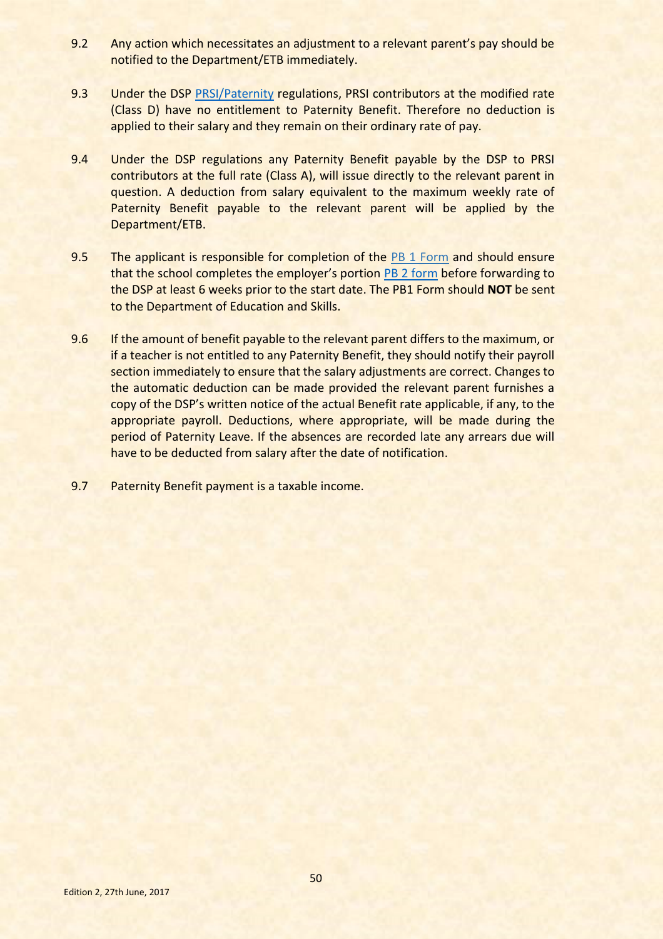- 9.2 Any action which necessitates an adjustment to a relevant parent's pay should be notified to the Department/ETB immediately.
- 9.3 Under the DSP [PRSI/Paternity](http://www.welfare.ie/en/Pages/search/results.aspx?k=Paternity&cs=This%20Site&u=http%3A%2F%2Fwww.welfare.ie%2Fen) regulations, PRSI contributors at the modified rate (Class D) have no entitlement to Paternity Benefit. Therefore no deduction is applied to their salary and they remain on their ordinary rate of pay.
- 9.4 Under the DSP regulations any Paternity Benefit payable by the DSP to PRSI contributors at the full rate (Class A), will issue directly to the relevant parent in question. A deduction from salary equivalent to the maximum weekly rate of Paternity Benefit payable to the relevant parent will be applied by the Department/ETB.
- 9.5 The applicant is responsible for completion of the [PB 1 Form](https://www.welfare.ie/en/pdf/PB1.pdf) and should ensure that the school completes the employer's portion [PB 2 form](http://www.welfare.ie/en/pdf/PB2.pdf) before forwarding to the DSP at least 6 weeks prior to the start date. The PB1 Form should **NOT** be sent to the Department of Education and Skills.
- 9.6 If the amount of benefit payable to the relevant parent differs to the maximum, or if a teacher is not entitled to any Paternity Benefit, they should notify their payroll section immediately to ensure that the salary adjustments are correct. Changes to the automatic deduction can be made provided the relevant parent furnishes a copy of the DSP's written notice of the actual Benefit rate applicable, if any, to the appropriate payroll. Deductions, where appropriate, will be made during the period of Paternity Leave. If the absences are recorded late any arrears due will have to be deducted from salary after the date of notification.
- 9.7 Paternity Benefit payment is a taxable income.